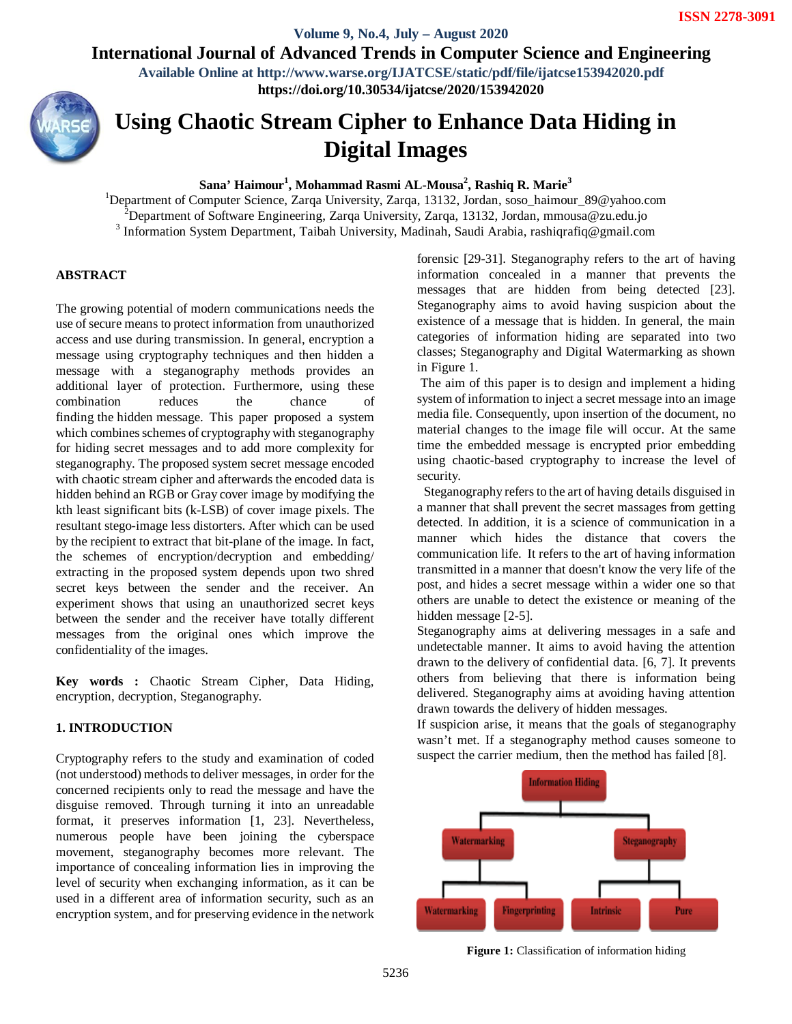**Volume 9, No.4, July – August 2020 International Journal of Advanced Trends in Computer Science and Engineering**

> **Available Online at http://www.warse.org/IJATCSE/static/pdf/file/ijatcse153942020.pdf https://doi.org/10.30534/ijatcse/2020/153942020**



# **Using Chaotic Stream Cipher to Enhance Data Hiding in Digital Images**

**Sana' Haimour<sup>1</sup> , Mohammad Rasmi AL-Mousa<sup>2</sup> , Rashiq R. Marie<sup>3</sup>**

<sup>1</sup>Department of Computer Science, Zarqa University, Zarqa, 13132, Jordan, soso\_haimour\_89@yahoo.com <sup>2</sup>Department of Software Engineering, Zarqa University, Zarqa, 13132, Jordan, mmousa@zu.edu.jo <sup>3</sup> Information System Department, Taibah University, Madinah, Saudi Arabia, rashiqrafiq@gmail.com

# **ABSTRACT**

The growing potential of modern communications needs the use of secure means to protect information from unauthorized access and use during transmission. In general, encryption a message using cryptography techniques and then hidden a message with a steganography methods provides an additional layer of protection. Furthermore, using these combination reduces the chance of finding the hidden message. This paper proposed a system which combines schemes of cryptography with steganography for hiding secret messages and to add more complexity for steganography. The proposed system secret message encoded with chaotic stream cipher and afterwards the encoded data is hidden behind an RGB or Gray cover image by modifying the kth least significant bits (k-LSB) of cover image pixels. The resultant stego-image less distorters. After which can be used by the recipient to extract that bit-plane of the image. In fact, the schemes of encryption/decryption and embedding/ extracting in the proposed system depends upon two shred secret keys between the sender and the receiver. An experiment shows that using an unauthorized secret keys between the sender and the receiver have totally different messages from the original ones which improve the confidentiality of the images.

**Key words :** Chaotic Stream Cipher, Data Hiding, encryption, decryption, Steganography.

# **1. INTRODUCTION**

Cryptography refers to the study and examination of coded (not understood) methods to deliver messages, in order for the concerned recipients only to read the message and have the disguise removed. Through turning it into an unreadable format, it preserves information [1, 23]. Nevertheless, numerous people have been joining the cyberspace movement, steganography becomes more relevant. The importance of concealing information lies in improving the level of security when exchanging information, as it can be used in a different area of information security, such as an encryption system, and for preserving evidence in the network forensic [29-31]. Steganography refers to the art of having information concealed in a manner that prevents the messages that are hidden from being detected [23]. Steganography aims to avoid having suspicion about the existence of a message that is hidden. In general, the main categories of information hiding are separated into two classes; Steganography and Digital Watermarking as shown in Figure 1.

The aim of this paper is to design and implement a hiding system of information to inject a secret message into an image media file. Consequently, upon insertion of the document, no material changes to the image file will occur. At the same time the embedded message is encrypted prior embedding using chaotic-based cryptography to increase the level of security.

 Steganography refers to the art of having details disguised in a manner that shall prevent the secret massages from getting detected. In addition, it is a science of communication in a manner which hides the distance that covers the communication life. It refers to the art of having information transmitted in a manner that doesn't know the very life of the post, and hides a secret message within a wider one so that others are unable to detect the existence or meaning of the hidden message [2-5].

Steganography aims at delivering messages in a safe and undetectable manner. It aims to avoid having the attention drawn to the delivery of confidential data. [6, 7]. It prevents others from believing that there is information being delivered. Steganography aims at avoiding having attention drawn towards the delivery of hidden messages.

If suspicion arise, it means that the goals of steganography wasn't met. If a steganography method causes someone to suspect the carrier medium, then the method has failed [8].



**Figure 1:** Classification of information hiding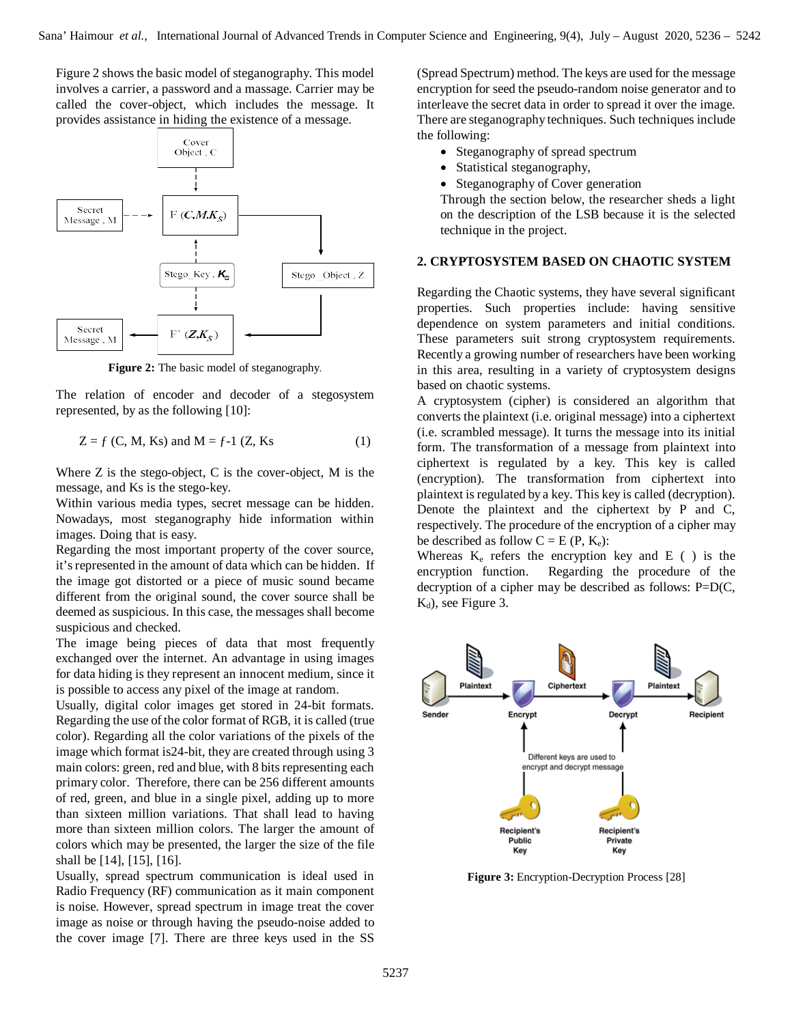Figure 2 shows the basic model of steganography. This model involves a carrier, a password and a massage. Carrier may be called the cover-object, which includes the message. It provides assistance in hiding the existence of a message.



**Figure 2:** The basic model of steganography.

The relation of encoder and decoder of a stegosystem represented, by as the following [10]:

$$
Z = f
$$
 (C, M, Ks) and M = f-1 (Z, Ks) (1)

Where Z is the stego-object, C is the cover-object, M is the message, and Ks is the stego-key.

Within various media types, secret message can be hidden. Nowadays, most steganography hide information within images. Doing that is easy.

Regarding the most important property of the cover source, it's represented in the amount of data which can be hidden. If the image got distorted or a piece of music sound became different from the original sound, the cover source shall be deemed as suspicious. In this case, the messages shall become suspicious and checked.

The image being pieces of data that most frequently exchanged over the internet. An advantage in using images for data hiding is they represent an innocent medium, since it is possible to access any pixel of the image at random.

Usually, digital color images get stored in 24-bit formats. Regarding the use of the color format of RGB, it is called (true color). Regarding all the color variations of the pixels of the image which format is24-bit, they are created through using 3 main colors: green, red and blue, with 8 bits representing each primary color. Therefore, there can be 256 different amounts of red, green, and blue in a single pixel, adding up to more than sixteen million variations. That shall lead to having more than sixteen million colors. The larger the amount of colors which may be presented, the larger the size of the file shall be [14], [15], [16].

Usually, spread spectrum communication is ideal used in Radio Frequency (RF) communication as it main component is noise. However, spread spectrum in image treat the cover image as noise or through having the pseudo-noise added to the cover image [7]. There are three keys used in the SS

(Spread Spectrum) method. The keys are used for the message encryption for seed the pseudo-random noise generator and to interleave the secret data in order to spread it over the image. There are steganography techniques. Such techniques include the following:

- Steganography of spread spectrum
- Statistical steganography,
- Steganography of Cover generation

Through the section below, the researcher sheds a light on the description of the LSB because it is the selected technique in the project.

## **2. CRYPTOSYSTEM BASED ON CHAOTIC SYSTEM**

Regarding the Chaotic systems, they have several significant properties. Such properties include: having sensitive dependence on system parameters and initial conditions. These parameters suit strong cryptosystem requirements. Recently a growing number of researchers have been working in this area, resulting in a variety of cryptosystem designs based on chaotic systems.

A cryptosystem (cipher) is considered an algorithm that converts the plaintext (i.e. original message) into a ciphertext (i.e. scrambled message). It turns the message into its initial form. The transformation of a message from plaintext into ciphertext is regulated by a key. This key is called (encryption). The transformation from ciphertext into plaintext is regulated by a key. This key is called (decryption). Denote the plaintext and the ciphertext by P and C, respectively. The procedure of the encryption of a cipher may be described as follow  $C = E(P, K_e)$ :

Whereas  $K_e$  refers the encryption key and E ( ) is the encryption function. Regarding the procedure of the decryption of a cipher may be described as follows:  $P=D(C,$  $K_d$ ), see Figure 3.



**Figure 3:** Encryption-Decryption Process [28]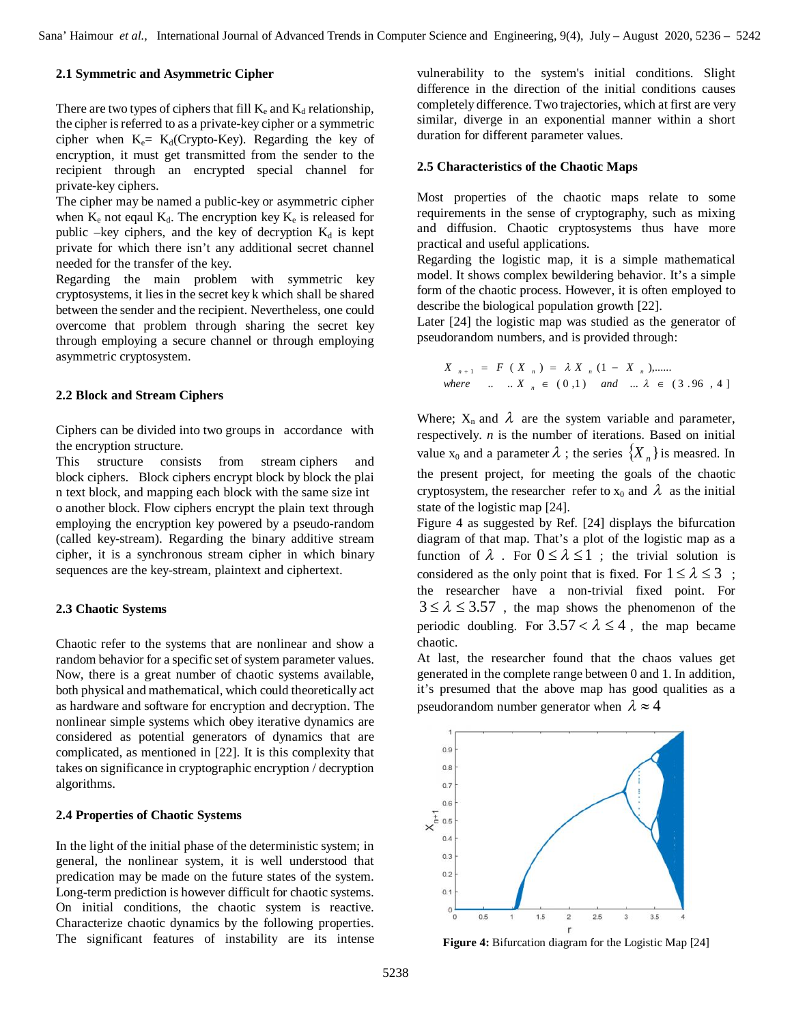## **2.1 Symmetric and Asymmetric Cipher**

There are two types of ciphers that fill  $K_e$  and  $K_d$  relationship, the cipher is referred to as a private-key cipher or a symmetric cipher when  $K_e= K_d$ (Crypto-Key). Regarding the key of encryption, it must get transmitted from the sender to the recipient through an encrypted special channel for private-key ciphers.

The cipher may be named a public-key or asymmetric cipher when  $K_e$  not eqaul  $K_d$ . The encryption key  $K_e$  is released for public –key ciphers, and the key of decryption  $K_d$  is kept private for which there isn't any additional secret channel needed for the transfer of the key.

Regarding the main problem with symmetric key cryptosystems, it lies in the secret key k which shall be shared between the sender and the recipient. Nevertheless, one could overcome that problem through sharing the secret key through employing a secure channel or through employing asymmetric cryptosystem.

### **2.2 Block and Stream Ciphers**

Ciphers can be divided into two groups in accordance with the encryption structure.

This structure consists from stream ciphers and block ciphers. Block ciphers encrypt block by block the plai n text block, and mapping each block with the same size int o another block. Flow ciphers encrypt the plain text through employing the encryption key powered by a pseudo-random (called key-stream). Regarding the binary additive stream cipher, it is a synchronous stream cipher in which binary sequences are the key-stream, plaintext and ciphertext.

#### **2.3 Chaotic Systems**

Chaotic refer to the systems that are nonlinear and show a random behavior for a specific set of system parameter values. Now, there is a great number of chaotic systems available, both physical and mathematical, which could theoretically act as hardware and software for encryption and decryption. The nonlinear simple systems which obey iterative dynamics are considered as potential generators of dynamics that are complicated, as mentioned in [22]. It is this complexity that takes on significance in cryptographic encryption / decryption algorithms.

#### **2.4 Properties of Chaotic Systems**

In the light of the initial phase of the deterministic system; in general, the nonlinear system, it is well understood that predication may be made on the future states of the system. Long-term prediction is however difficult for chaotic systems. On initial conditions, the chaotic system is reactive. Characterize chaotic dynamics by the following properties. The significant features of instability are its intense

vulnerability to the system's initial conditions. Slight difference in the direction of the initial conditions causes completely difference. Two trajectories, which at first are very similar, diverge in an exponential manner within a short duration for different parameter values.

#### **2.5 Characteristics of the Chaotic Maps**

Most properties of the chaotic maps relate to some requirements in the sense of cryptography, such as mixing and diffusion. Chaotic cryptosystems thus have more practical and useful applications.

Regarding the logistic map, it is a simple mathematical model. It shows complex bewildering behavior. It's a simple form of the chaotic process. However, it is often employed to describe the biological population growth [22].

Later [24] the logistic map was studied as the generator of pseudorandom numbers, and is provided through:

$$
X_{n+1} = F(X_n) = \lambda X_n (1 - X_n), \dots
$$
  
where  $\dots X_n \in (0,1)$  and  $\dots \lambda \in (3.96, 4]$ 

Where;  $X_n$  and  $\lambda$  are the system variable and parameter, respectively. *n* is the number of iterations. Based on initial value  $x_0$  and a parameter  $\lambda$ ; the series  $\{X_n\}$  is measred. In the present project, for meeting the goals of the chaotic cryptosystem, the researcher refer to  $x_0$  and  $\lambda$  as the initial state of the logistic map [24].

Figure 4 as suggested by Ref. [24] displays the bifurcation diagram of that map. That's a plot of the logistic map as a function of  $\lambda$ . For  $0 \le \lambda \le 1$ ; the trivial solution is considered as the only point that is fixed. For  $1 \le \lambda \le 3$ ; the researcher have a non-trivial fixed point. For  $3 \le \lambda \le 3.57$ , the map shows the phenomenon of the periodic doubling. For  $3.57 < \lambda \leq 4$ , the map became chaotic.

At last, the researcher found that the chaos values get generated in the complete range between 0 and 1. In addition, it's presumed that the above map has good qualities as a pseudorandom number generator when  $\lambda \approx 4$ 



**Figure 4:** Bifurcation diagram for the Logistic Map [24]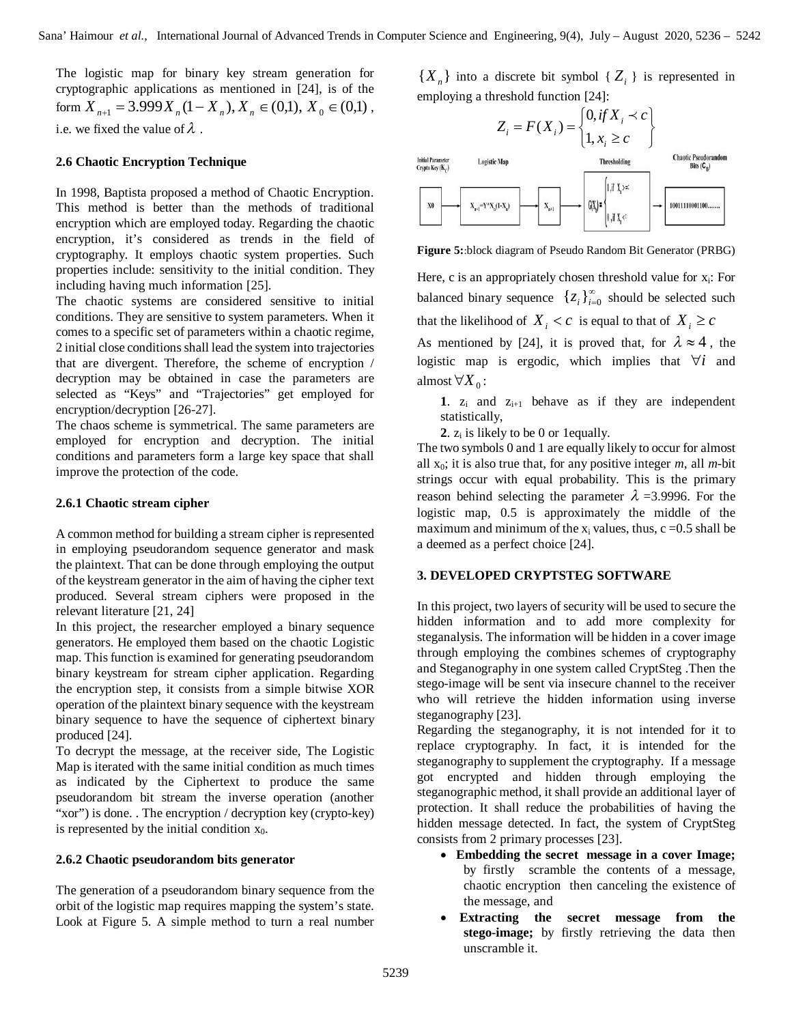The logistic map for binary key stream generation for cryptographic applications as mentioned in [24], is of the form  $X_{n+1} = 3.999 X_n (1 - X_n), X_n \in (0,1), X_0 \in (0,1)$ , i.e. we fixed the value of  $\lambda$ .

## **2.6 Chaotic Encryption Technique**

In 1998, Baptista proposed a method of Chaotic Encryption. This method is better than the methods of traditional encryption which are employed today. Regarding the chaotic encryption, it's considered as trends in the field of cryptography. It employs chaotic system properties. Such properties include: sensitivity to the initial condition. They including having much information [25].

The chaotic systems are considered sensitive to initial conditions. They are sensitive to system parameters. When it comes to a specific set of parameters within a chaotic regime, 2 initial close conditions shall lead the system into trajectories that are divergent. Therefore, the scheme of encryption / decryption may be obtained in case the parameters are selected as "Keys" and "Trajectories" get employed for encryption/decryption [26-27].

The chaos scheme is symmetrical. The same parameters are employed for encryption and decryption. The initial conditions and parameters form a large key space that shall improve the protection of the code.

## **2.6.1 Chaotic stream cipher**

A common method for building a stream cipher is represented in employing pseudorandom sequence generator and mask the plaintext. That can be done through employing the output of the keystream generator in the aim of having the cipher text produced. Several stream ciphers were proposed in the relevant literature [21, 24]

In this project, the researcher employed a binary sequence generators. He employed them based on the chaotic Logistic map. This function is examined for generating pseudorandom binary keystream for stream cipher application. Regarding the encryption step, it consists from a simple bitwise XOR operation of the plaintext binary sequence with the keystream binary sequence to have the sequence of ciphertext binary produced [24].

To decrypt the message, at the receiver side, The Logistic Map is iterated with the same initial condition as much times as indicated by the Ciphertext to produce the same pseudorandom bit stream the inverse operation (another "xor") is done. . The encryption / decryption key (crypto-key) is represented by the initial condition  $x_0$ .

## **2.6.2 Chaotic pseudorandom bits generator**

The generation of a pseudorandom binary sequence from the orbit of the logistic map requires mapping the system's state. Look at Figure 5. A simple method to turn a real number

 ${X_n}$  into a discrete bit symbol  ${Z_i}$  is represented in employing a threshold function [24]:



**Figure 5:**:block diagram of Pseudo Random Bit Generator (PRBG)

Here, c is an appropriately chosen threshold value for  $x_i$ : For balanced binary sequence  $\{z_i\}_{i=1}^{\infty}$  ${z_i}_{i=0}^{\infty}$  should be selected such that the likelihood of  $X_i < c$  is equal to that of  $X_i \geq c$ 

As mentioned by [24], it is proved that, for  $\lambda \approx 4$ , the logistic map is ergodic, which implies that  $\forall i$  and almost  $\forall X$ <sub>0</sub>:

1.  $z_i$  and  $z_{i+1}$  behave as if they are independent statistically,

**2**.  $z_i$  is likely to be 0 or 1equally.

The two symbols 0 and 1 are equally likely to occur for almost all  $x_0$ ; it is also true that, for any positive integer  $m$ , all  $m$ -bit strings occur with equal probability. This is the primary reason behind selecting the parameter  $\lambda$  =3.9996. For the logistic map, 0.5 is approximately the middle of the maximum and minimum of the  $x_i$  values, thus,  $c = 0.5$  shall be a deemed as a perfect choice [24].

## **3. DEVELOPED CRYPTSTEG SOFTWARE**

In this project, two layers of security will be used to secure the hidden information and to add more complexity for steganalysis. The information will be hidden in a cover image through employing the combines schemes of cryptography and Steganography in one system called CryptSteg .Then the stego-image will be sent via insecure channel to the receiver who will retrieve the hidden information using inverse steganography [23].

Regarding the steganography, it is not intended for it to replace cryptography. In fact, it is intended for the steganography to supplement the cryptography. If a message got encrypted and hidden through employing the steganographic method, it shall provide an additional layer of protection. It shall reduce the probabilities of having the hidden message detected. In fact, the system of CryptSteg consists from 2 primary processes [23].

- **Embedding the secret message in a cover Image;**  by firstly scramble the contents of a message, chaotic encryption then canceling the existence of the message, and
- **Extracting the secret message from the stego-image;** by firstly retrieving the data then unscramble it.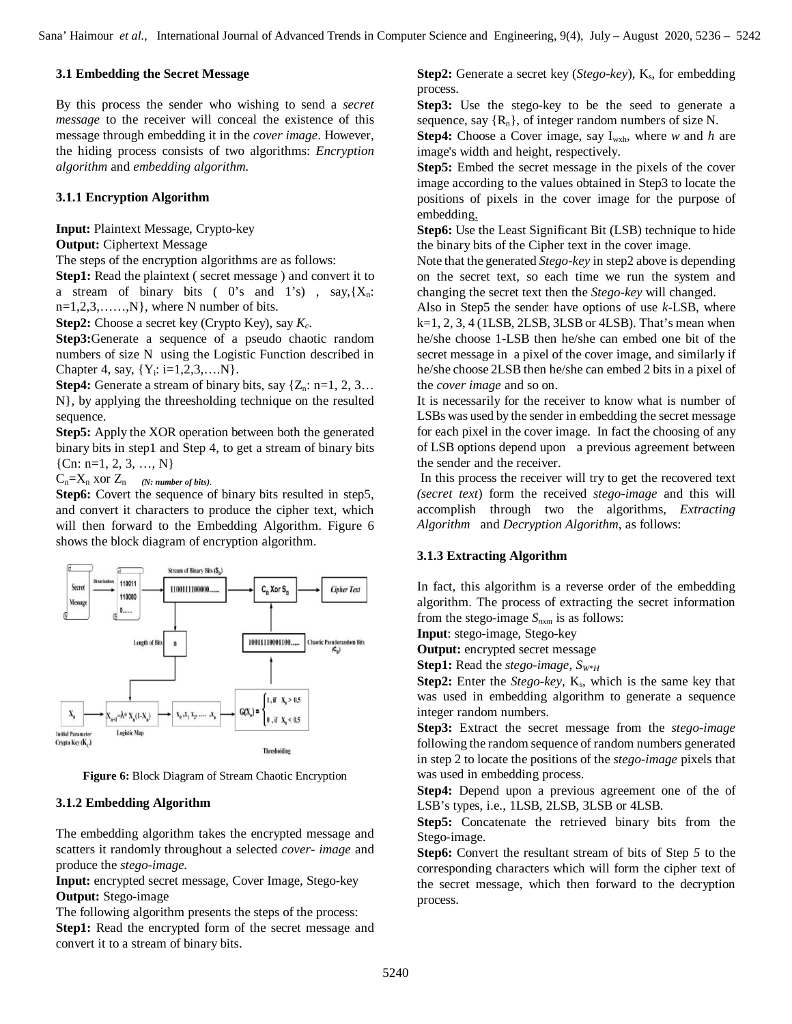### **3.1 Embedding the Secret Message**

By this process the sender who wishing to send a *secret message* to the receiver will conceal the existence of this message through embedding it in the *cover image*. However, the hiding process consists of two algorithms: *Encryption algorithm* and *embedding algorithm.*

## **3.1.1 Encryption Algorithm**

**Input:** Plaintext Message, Crypto-key

### **Output:** Ciphertext Message

The steps of the encryption algorithms are as follows:

**Step1:** Read the plaintext ( secret message ) and convert it to a stream of binary bits ( $0$ 's and  $1$ 's), say, { $X_n$ :  $n=1,2,3,\ldots,N\}$ , where N number of bits.

**Step2:** Choose a secret key (Crypto Key), say *K<sup>c</sup>* .

**Step3:**Generate a sequence of a pseudo chaotic random numbers of size N using the Logistic Function described in Chapter 4, say,  ${Y_i: i=1,2,3,...N}$ .

**Step4:** Generate a stream of binary bits, say  $\{Z_n: n=1, 2, 3...\}$ N}, by applying the threesholding technique on the resulted sequence.

**Step5:** Apply the XOR operation between both the generated binary bits in step1 and Step 4, to get a stream of binary bits  ${Cn: n=1, 2, 3, ..., N}$ 

 $C_n = X_n$  xor  $Z_n$  (*N: number of bits*)*.* 

**Step6:** Covert the sequence of binary bits resulted in step5, and convert it characters to produce the cipher text, which will then forward to the Embedding Algorithm. Figure 6 shows the block diagram of encryption algorithm.



**Figure 6:** Block Diagram of Stream Chaotic Encryption

#### **3.1.2 Embedding Algorithm**

The embedding algorithm takes the encrypted message and scatters it randomly throughout a selected *cover- image* and produce the *stego-image.* 

**Input:** encrypted secret message, Cover Image, Stego-key **Output:** Stego-image

The following algorithm presents the steps of the process: **Step1:** Read the encrypted form of the secret message and convert it to a stream of binary bits.

**Step2:** Generate a secret key (*Stego-key*), K<sub>s</sub>, for embedding process.

**Step3:** Use the stego-key to be the seed to generate a sequence, say  ${R_n}$ , of integer random numbers of size N.

**Step4:** Choose a Cover image, say I<sub>wxh</sub>, where *w* and *h* are image's width and height, respectively.

**Step5:** Embed the secret message in the pixels of the cover image according to the values obtained in Step3 to locate the positions of pixels in the cover image for the purpose of embedding.

**Step6:** Use the Least Significant Bit (LSB) technique to hide the binary bits of the Cipher text in the cover image.

Note that the generated *Stego-key* in step2 above is depending on the secret text, so each time we run the system and changing the secret text then the *Stego-key* will changed.

Also in Step5 the sender have options of use *k*-LSB, where  $k=1, 2, 3, 4$  (1LSB, 2LSB, 3LSB or 4LSB). That's mean when he/she choose 1-LSB then he/she can embed one bit of the secret message in a pixel of the cover image, and similarly if he/she choose 2LSB then he/she can embed 2 bits in a pixel of the *cover image* and so on.

It is necessarily for the receiver to know what is number of LSBs was used by the sender in embedding the secret message for each pixel in the cover image. In fact the choosing of any of LSB options depend upon a previous agreement between the sender and the receiver.

In this process the receiver will try to get the recovered text *(secret text*) form the received *stego-image* and this will accomplish through two the algorithms, *Extracting Algorithm* and *Decryption Algorithm*, as follows:

## **3.1.3 Extracting Algorithm**

In fact, this algorithm is a reverse order of the embedding algorithm. The process of extracting the secret information from the stego-image *Snxm* is as follows:

**Input**: stego-image, Stego-key

**Output:** encrypted secret message

**Step1:** Read the *stego-image, SW\*H*

**Step2:** Enter the *Stego-key*, K<sub>s</sub>, which is the same key that was used in embedding algorithm to generate a sequence integer random numbers.

**Step3:** Extract the secret message from the *stego-image* following the random sequence of random numbers generated in step 2 to locate the positions of the *stego-image* pixels that was used in embedding process.

**Step4:** Depend upon a previous agreement one of the of LSB's types, i.e., 1LSB, 2LSB, 3LSB or 4LSB.

**Step5:** Concatenate the retrieved binary bits from the Stego-image.

**Step6:** Convert the resultant stream of bits of Step *5* to the corresponding characters which will form the cipher text of the secret message, which then forward to the decryption process.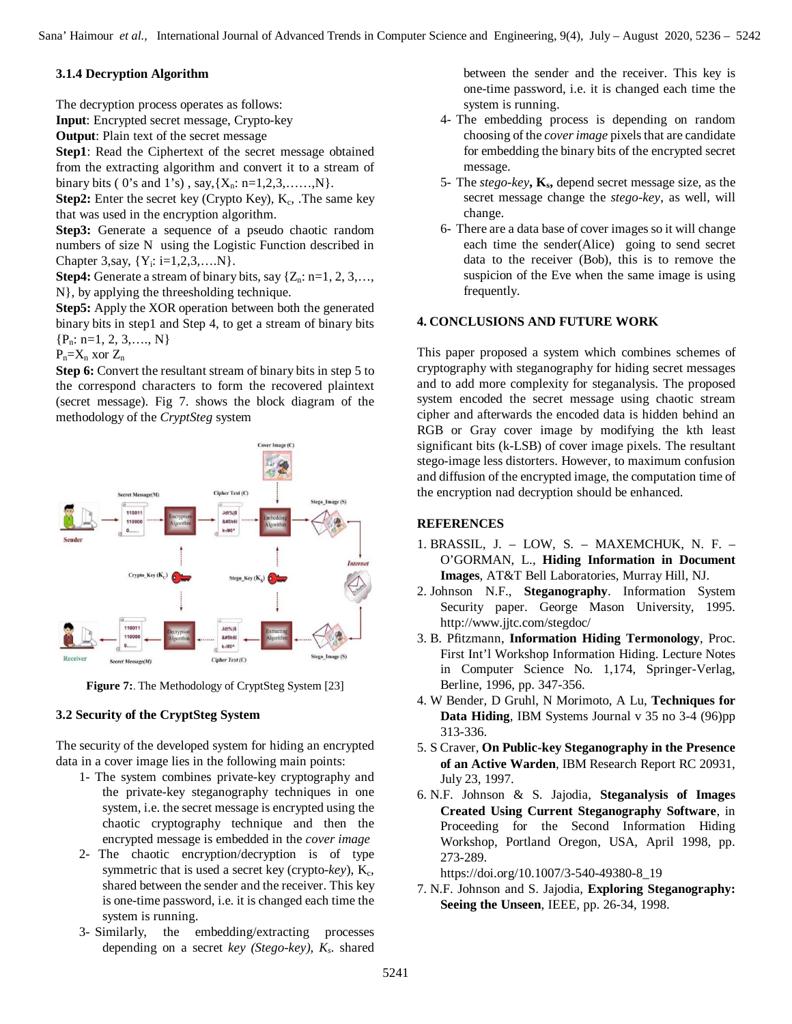## **3.1.4 Decryption Algorithm**

The decryption process operates as follows:

**Input**: Encrypted secret message, Crypto-key

**Output**: Plain text of the secret message

**Step1**: Read the Ciphertext of the secret message obtained from the extracting algorithm and convert it to a stream of binary bits ( 0's and 1's), say,  $\{X_n: n=1,2,3,...,N\}$ .

**Step2:** Enter the secret key (Crypto Key), K<sub>c</sub>, .The same key that was used in the encryption algorithm.

**Step3:** Generate a sequence of a pseudo chaotic random numbers of size N using the Logistic Function described in Chapter 3, say,  ${Y_i: i=1,2,3,...N}$ .

**Step4:** Generate a stream of binary bits, say  $\{Z_n: n=1, 2, 3, \ldots, \}$ N}, by applying the threesholding technique.

**Step5:** Apply the XOR operation between both the generated binary bits in step1 and Step 4, to get a stream of binary bits  ${P_n: n=1, 2, 3, \ldots, N}$ 

 $P_n = X_n$  xor  $Z_n$ 

**Step 6:** Convert the resultant stream of binary bits in step 5 to the correspond characters to form the recovered plaintext (secret message). Fig 7. shows the block diagram of the methodology of the *CryptSteg* system



**Figure 7:** The Methodology of CryptSteg System [23]

## **3.2 Security of the CryptSteg System**

The security of the developed system for hiding an encrypted data in a cover image lies in the following main points:

- 1- The system combines private-key cryptography and the private-key steganography techniques in one system, i.e. the secret message is encrypted using the chaotic cryptography technique and then the encrypted message is embedded in the *cover image*
- 2- The chaotic encryption/decryption is of type symmetric that is used a secret key (crypto-key), K<sub>c</sub>, shared between the sender and the receiver. This key is one-time password, i.e. it is changed each time the system is running.
- 3- Similarly, the embedding/extracting processes depending on a secret *key (Stego-key), K<sup>s</sup> .* shared

between the sender and the receiver. This key is one-time password, i.e. it is changed each time the system is running.

- 4- The embedding process is depending on random choosing of the *cover image* pixels that are candidate for embedding the binary bits of the encrypted secret message.
- 5- The *stego-key***, K<sup>s</sup> ,** depend secret message size, as the secret message change the *stego-key*, as well, will change.
- 6- There are a data base of cover images so it will change each time the sender(Alice) going to send secret data to the receiver (Bob), this is to remove the suspicion of the Eve when the same image is using frequently.

## **4. CONCLUSIONS AND FUTURE WORK**

This paper proposed a system which combines schemes of cryptography with steganography for hiding secret messages and to add more complexity for steganalysis. The proposed system encoded the secret message using chaotic stream cipher and afterwards the encoded data is hidden behind an RGB or Gray cover image by modifying the kth least significant bits (k-LSB) of cover image pixels. The resultant stego-image less distorters. However, to maximum confusion and diffusion of the encrypted image, the computation time of the encryption nad decryption should be enhanced.

## **REFERENCES**

- 1. BRASSIL, J. LOW, S. MAXEMCHUK, N. F. O'GORMAN, L., **Hiding Information in Document Images**, AT&T Bell Laboratories, Murray Hill, NJ.
- 2. Johnson N.F., **Steganography**. Information System Security paper. George Mason University, 1995. http://www.jjtc.com/stegdoc/
- 3. B. Pfitzmann, **Information Hiding Termonology**, Proc. First Int'l Workshop Information Hiding. Lecture Notes in Computer Science No. 1,174, Springer-Verlag, Berline, 1996, pp. 347-356.
- 4. W Bender, D Gruhl, N Morimoto, A Lu, **Techniques for Data Hiding**, IBM Systems Journal v 35 no 3-4 (96)pp 313-336.
- 5. S Craver, **On Public-key Steganography in the Presence of an Active Warden**, IBM Research Report RC 20931, July 23, 1997.
- 6. N.F. Johnson & S. Jajodia, **Steganalysis of Images Created Using Current Steganography Software**, in Proceeding for the Second Information Hiding Workshop, Portland Oregon, USA, April 1998, pp. 273-289.
	- https://doi.org/10.1007/3-540-49380-8\_19
- 7. N.F. Johnson and S. Jajodia, **Exploring Steganography: Seeing the Unseen**, IEEE, pp. 26-34, 1998.